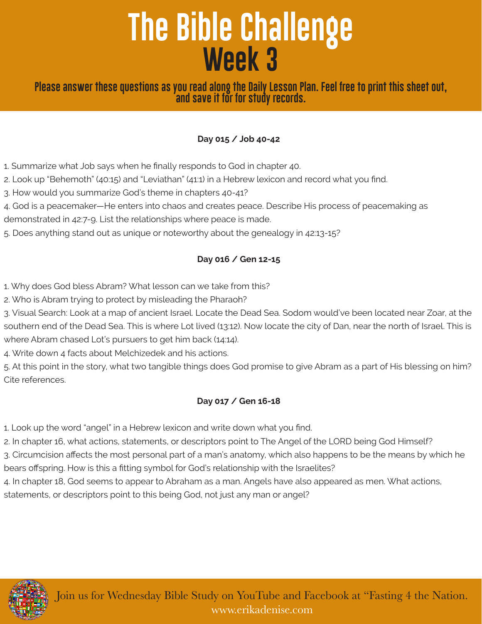# **The Bible Challenge Week 3**

### **Please answer these questions as you read along the Daily Lesson Plan. Feel free to print this sheet out, and save it for for study records.**

#### **Day 015 / Job 40-42**

1. Summarize what Job says when he finally responds to God in chapter 40.

2. Look up "Behemoth" (40:15) and "Leviathan" (41:1) in a Hebrew lexicon and record what you find.

3. How would you summarize God's theme in chapters 40-41?

4. God is a peacemaker—He enters into chaos and creates peace. Describe His process of peacemaking as

demonstrated in 42:7-9. List the relationships where peace is made.

5. Does anything stand out as unique or noteworthy about the genealogy in 42:13-15?

### **Day 016 / Gen 12-15**

1. Why does God bless Abram? What lesson can we take from this?

2. Who is Abram trying to protect by misleading the Pharaoh?

3. Visual Search: Look at a map of ancient Israel. Locate the Dead Sea. Sodom would've been located near Zoar, at the southern end of the Dead Sea. This is where Lot lived (13:12). Now locate the city of Dan, near the north of Israel. This is where Abram chased Lot's pursuers to get him back (14:14).

4. Write down 4 facts about Melchizedek and his actions.

5. At this point in the story, what two tangible things does God promise to give Abram as a part of His blessing on him? Cite references.

#### **Day 017 / Gen 16-18**

1. Look up the word "angel" in a Hebrew lexicon and write down what you find.

2. In chapter 16, what actions, statements, or descriptors point to The Angel of the LORD being God Himself?

3. Circumcision affects the most personal part of a man's anatomy, which also happens to be the means by which he bears offspring. How is this a fitting symbol for God's relationship with the Israelites?

4. In chapter 18, God seems to appear to Abraham as a man. Angels have also appeared as men. What actions,

statements, or descriptors point to this being God, not just any man or angel?

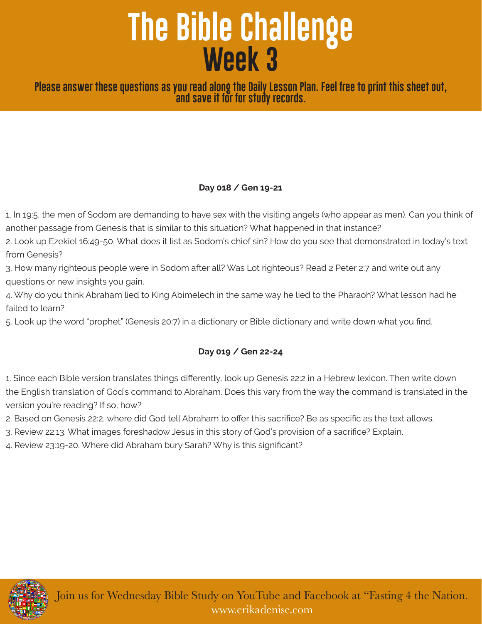# **The Bible Challenge Week 3**

**Please answer these questions as you read along the Daily Lesson Plan. Feel free to print this sheet out, and save it for for study records.**

#### **Day 018 / Gen 19-21**

1. In 19:5, the men of Sodom are demanding to have sex with the visiting angels (who appear as men). Can you think of another passage from Genesis that is similar to this situation? What happened in that instance?

2. Look up Ezekiel 16:49-50. What does it list as Sodom's chief sin? How do you see that demonstrated in today's text from Genesis?

3. How many righteous people were in Sodom after all? Was Lot righteous? Read 2 Peter 2:7 and write out any questions or new insights you gain.

4. Why do you think Abraham lied to King Abimelech in the same way he lied to the Pharaoh? What lesson had he failed to learn?

5. Look up the word "prophet" (Genesis 20:7) in a dictionary or Bible dictionary and write down what you find.

#### **Day 019 / Gen 22-24**

1. Since each Bible version translates things differently, look up Genesis 22:2 in a Hebrew lexicon. Then write down the English translation of God's command to Abraham. Does this vary from the way the command is translated in the version you're reading? If so, how?

- 2. Based on Genesis 22:2, where did God tell Abraham to offer this sacrifice? Be as specific as the text allows.
- 3. Review 22:13. What images foreshadow Jesus in this story of God's provision of a sacrifice? Explain.
- 4. Review 23:19-20. Where did Abraham bury Sarah? Why is this significant?